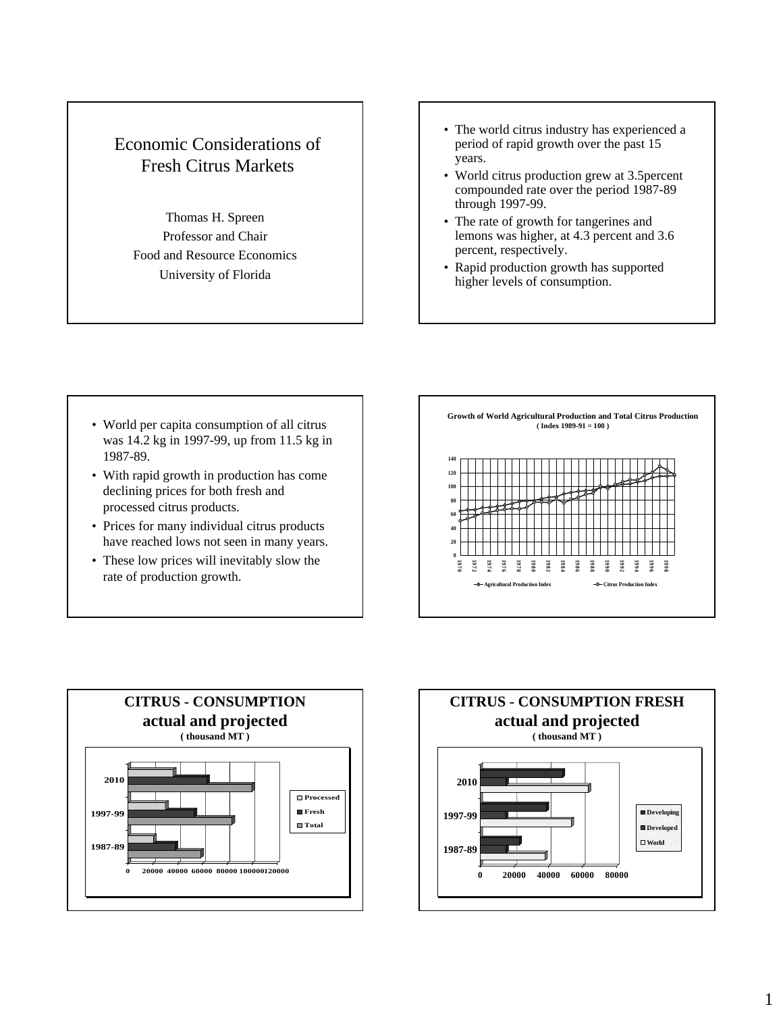## Economic Considerations of Fresh Citrus Markets

Thomas H. Spreen Professor and Chair Food and Resource Economics University of Florida

- The world citrus industry has experienced a period of rapid growth over the past 15 years.
- World citrus production grew at 3.5percent compounded rate over the period 1987-89 through 1997-99.
- The rate of growth for tangerines and lemons was higher, at 4.3 percent and 3.6 percent, respectively.
- Rapid production growth has supported higher levels of consumption.

- World per capita consumption of all citrus was 14.2 kg in 1997-99, up from 11.5 kg in 1987-89.
- With rapid growth in production has come declining prices for both fresh and processed citrus products.
- Prices for many individual citrus products have reached lows not seen in many years.
- These low prices will inevitably slow the rate of production growth.





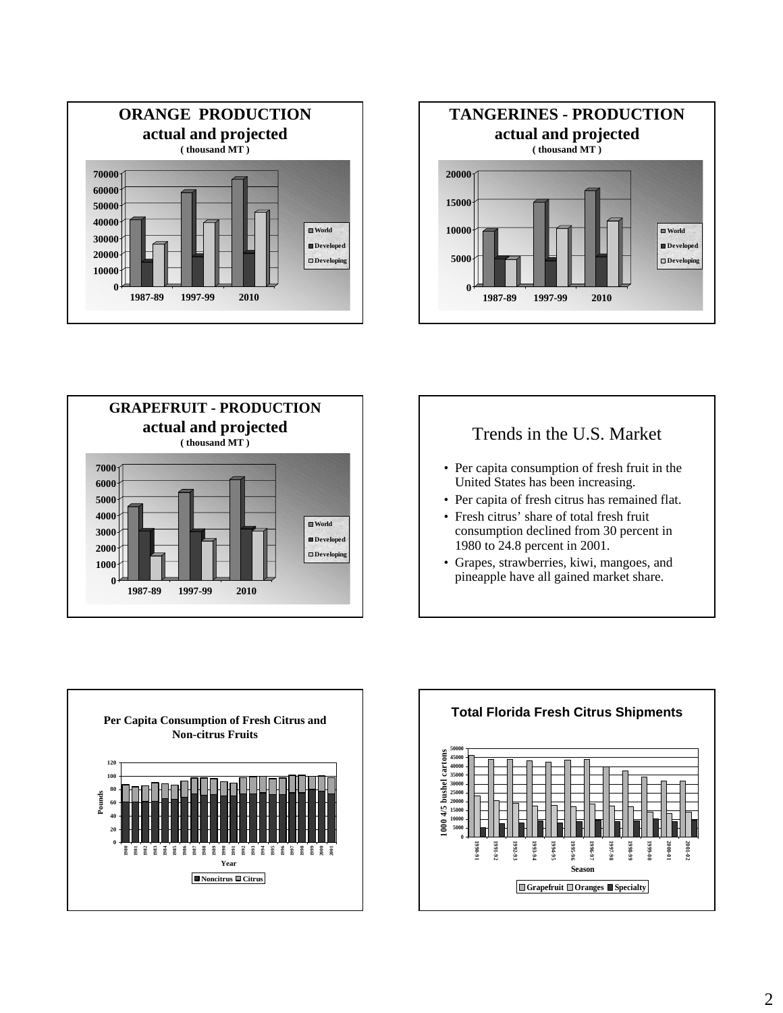





### Trends in the U.S. Market

- Per capita consumption of fresh fruit in the United States has been increasing.
- Per capita of fresh citrus has remained flat.
- Fresh citrus' share of total fresh fruit consumption declined from 30 percent in 1980 to 24.8 percent in 2001.
- Grapes, strawberries, kiwi, mangoes, and pineapple have all gained market share.



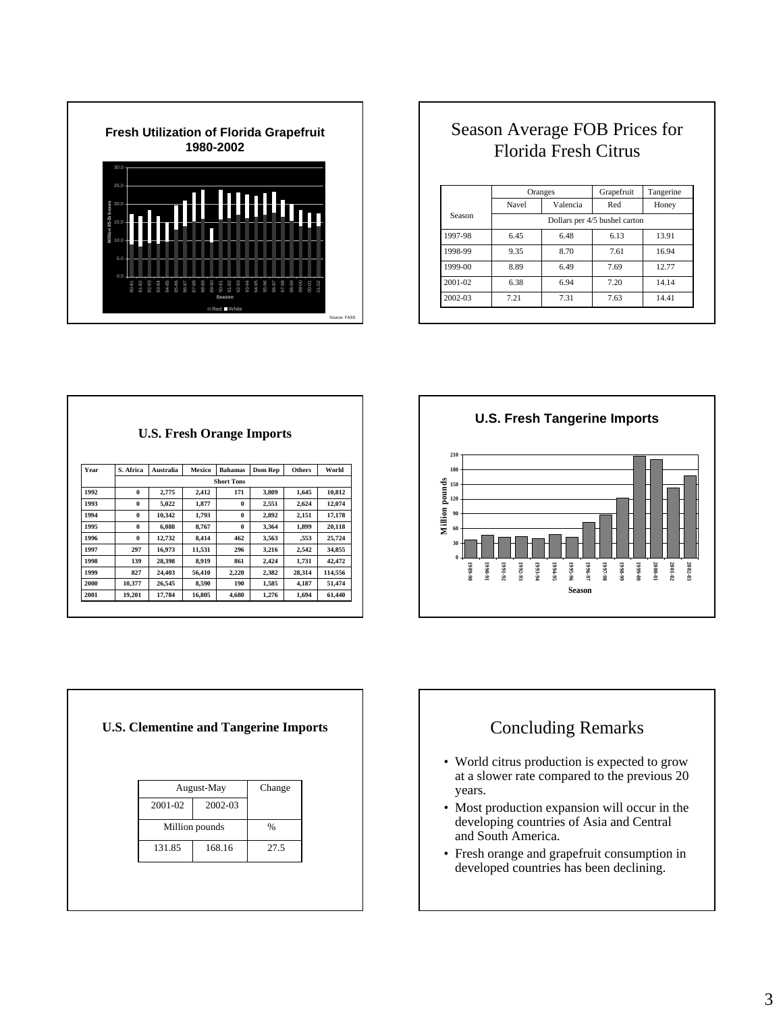

# Season Average FOB Prices for Florida Fresh Citrus

|         |                               | Oranges  | Grapefruit | Tangerine |  |  |  |
|---------|-------------------------------|----------|------------|-----------|--|--|--|
|         | Navel                         | Valencia | Red        | Honey     |  |  |  |
| Season  | Dollars per 4/5 bushel carton |          |            |           |  |  |  |
| 1997-98 | 6.45                          | 6.48     | 6.13       | 13.91     |  |  |  |
| 1998-99 | 9.35                          | 8.70     | 7.61       | 16.94     |  |  |  |
| 1999-00 | 8.89                          | 6.49     | 7.69       | 12.77     |  |  |  |
| 2001-02 | 6.38                          | 6.94     | 7.20       | 14.14     |  |  |  |
| 2002-03 | 7.21                          | 7.31     | 7.63       | 14.41     |  |  |  |

|      |                   | <b>U.S. Fresh Orange Imports</b> |        |                |                |               |         |  |  |  |  |
|------|-------------------|----------------------------------|--------|----------------|----------------|---------------|---------|--|--|--|--|
| Year | S. Africa         | Australia                        | Mexico | <b>Bahamas</b> | <b>Dom Rep</b> | <b>Others</b> | World   |  |  |  |  |
|      | <b>Short Tons</b> |                                  |        |                |                |               |         |  |  |  |  |
| 1992 | $\bf{0}$          | 2.775                            | 2.412  | 171            | 3.809          | 1.645         | 10.812  |  |  |  |  |
| 1993 | $\bf{0}$          | 5.022                            | 1.877  | $\bf{0}$       | 2,551          | 2,624         | 12,074  |  |  |  |  |
| 1994 | $\bf{0}$          | 10.342                           | 1.793  | $\bf{0}$       | 2,892          | 2.151         | 17,178  |  |  |  |  |
| 1995 | $\bf{0}$          | 6.088                            | 8.767  | $\bf{0}$       | 3.364          | 1.899         | 20,118  |  |  |  |  |
| 1996 | $\bf{0}$          | 12,732                           | 8.414  | 462            | 3,563          | ,553          | 25,724  |  |  |  |  |
| 1997 | 297               | 16,973                           | 11,531 | 296            | 3,216          | 2,542         | 34,855  |  |  |  |  |
| 1998 | 139               | 28.398                           | 8.919  | 861            | 2.424          | 1,731         | 42.472  |  |  |  |  |
| 1999 | 827               | 24.403                           | 56.410 | 2,220          | 2.382          | 28.314        | 114.556 |  |  |  |  |
| 2000 | 10.377            | 26.545                           | 8.590  | 190            | 1.585          | 4.187         | 51.474  |  |  |  |  |
| 2001 | 19.201            | 17.784                           | 16,805 | 4.680          | 1,276          | 1.694         | 61,440  |  |  |  |  |